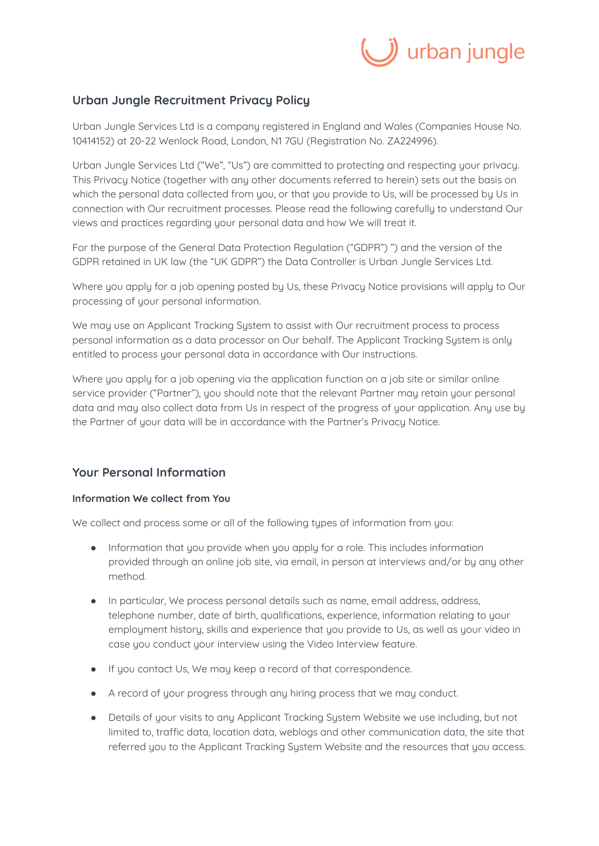

# **Urban Jungle Recruitment Privacy Policy**

Urban Jungle Services Ltd is a company registered in England and Wales (Companies House No. 10414152) at 20-22 Wenlock Road, London, N1 7GU (Registration No. ZA224996).

Urban Jungle Services Ltd ("We", "Us") are committed to protecting and respecting your privacy. This Privacy Notice (together with any other documents referred to herein) sets out the basis on which the personal data collected from you, or that you provide to Us, will be processed by Us in connection with Our recruitment processes. Please read the following carefully to understand Our views and practices regarding your personal data and how We will treat it.

For the purpose of the General Data Protection Regulation ("GDPR") ") and the version of the GDPR retained in UK law (the "UK GDPR") the Data Controller is Urban Jungle Services Ltd.

Where you apply for a job opening posted by Us, these Privacy Notice provisions will apply to Our processing of your personal information.

We may use an Applicant Tracking System to assist with Our recruitment process to process personal information as a data processor on Our behalf. The Applicant Tracking System is only entitled to process your personal data in accordance with Our instructions.

Where you apply for a job opening via the application function on a job site or similar online service provider ("Partner"), you should note that the relevant Partner may retain your personal data and may also collect data from Us in respect of the progress of your application. Any use by the Partner of your data will be in accordance with the Partner's Privacy Notice.

## **Your Personal Information**

### **Information We collect from You**

We collect and process some or all of the following types of information from you:

- Information that you provide when you apply for a role. This includes information provided through an online job site, via email, in person at interviews and/or by any other method.
- In particular, We process personal details such as name, email address, address, telephone number, date of birth, qualifications, experience, information relating to your employment history, skills and experience that you provide to Us, as well as your video in case you conduct your interview using the Video Interview feature.
- If you contact Us, We may keep a record of that correspondence.
- A record of your progress through any hiring process that we may conduct.
- Details of your visits to any Applicant Tracking System Website we use including, but not limited to, traffic data, location data, weblogs and other communication data, the site that referred you to the Applicant Tracking System Website and the resources that you access.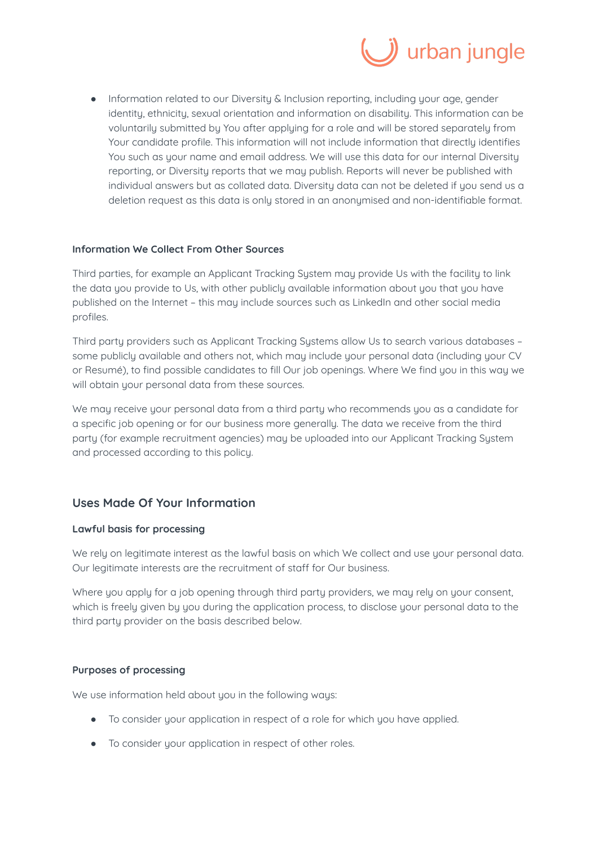

● Information related to our Diversity & Inclusion reporting, including your age, gender identity, ethnicity, sexual orientation and information on disability. This information can be voluntarily submitted by You after applying for a role and will be stored separately from Your candidate profile. This information will not include information that directly identifies You such as your name and email address. We will use this data for our internal Diversity reporting, or Diversity reports that we may publish. Reports will never be published with individual answers but as collated data. Diversity data can not be deleted if you send us a deletion request as this data is only stored in an anonymised and non-identifiable format.

### **Information We Collect From Other Sources**

Third parties, for example an Applicant Tracking System may provide Us with the facility to link the data you provide to Us, with other publicly available information about you that you have published on the Internet - this may include sources such as LinkedIn and other social media profiles.

Third party providers such as Applicant Tracking Systems allow Us to search various databases – some publicly available and others not, which may include your personal data (including your CV or Resumé), to find possible candidates to fill Our job openings. Where We find you in this way we will obtain your personal data from these sources.

We may receive your personal data from a third party who recommends you as a candidate for a specific job opening or for our business more generally. The data we receive from the third party (for example recruitment agencies) may be uploaded into our Applicant Tracking System and processed according to this policy.

## **Uses Made Of Your Information**

### **Lawful basis for processing**

We rely on legitimate interest as the lawful basis on which We collect and use your personal data. Our legitimate interests are the recruitment of staff for Our business.

Where you apply for a job opening through third party providers, we may rely on your consent, which is freely given by you during the application process, to disclose your personal data to the third party provider on the basis described below.

### **Purposes of processing**

We use information held about you in the following ways:

- To consider your application in respect of a role for which you have applied.
- To consider your application in respect of other roles.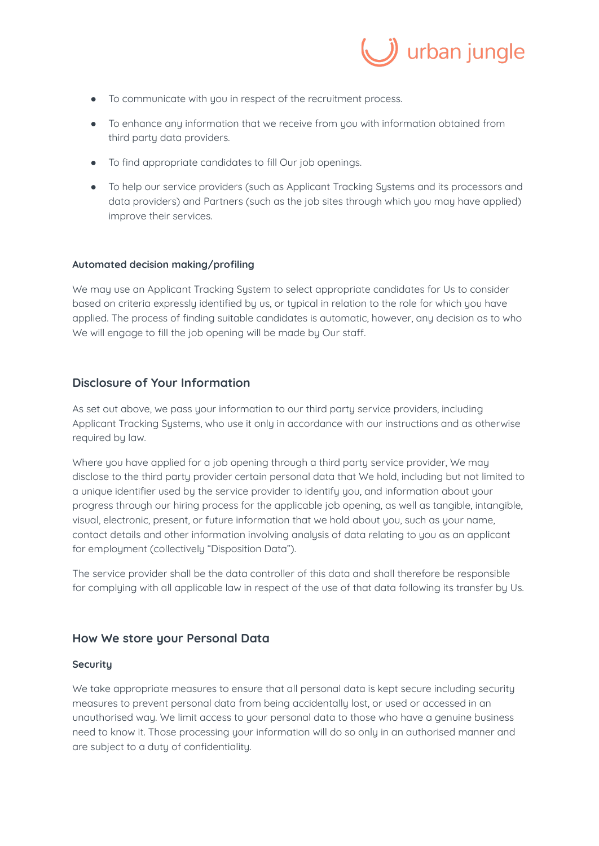

- To communicate with you in respect of the recruitment process.
- To enhance any information that we receive from you with information obtained from third party data providers.
- To find appropriate candidates to fill Our job openings.
- To help our service providers (such as Applicant Tracking Systems and its processors and data providers) and Partners (such as the job sites through which you may have applied) improve their services.

### **Automated decision making/profiling**

We may use an Applicant Tracking System to select appropriate candidates for Us to consider based on criteria expressly identified by us, or typical in relation to the role for which you have applied. The process of finding suitable candidates is automatic, however, any decision as to who We will engage to fill the job opening will be made by Our staff.

## **Disclosure of Your Information**

As set out above, we pass your information to our third party service providers, including Applicant Tracking Systems, who use it only in accordance with our instructions and as otherwise required by law.

Where you have applied for a job opening through a third party service provider, We may disclose to the third party provider certain personal data that We hold, including but not limited to a unique identifier used by the service provider to identify you, and information about your progress through our hiring process for the applicable job opening, as well as tangible, intangible, visual, electronic, present, or future information that we hold about you, such as your name, contact details and other information involving analysis of data relating to you as an applicant for employment (collectively "Disposition Data").

The service provider shall be the data controller of this data and shall therefore be responsible for complying with all applicable law in respect of the use of that data following its transfer by Us.

### **How We store your Personal Data**

### **Security**

We take appropriate measures to ensure that all personal data is kept secure including security measures to prevent personal data from being accidentally lost, or used or accessed in an unauthorised way. We limit access to your personal data to those who have a genuine business need to know it. Those processing your information will do so only in an authorised manner and are subject to a duty of confidentiality.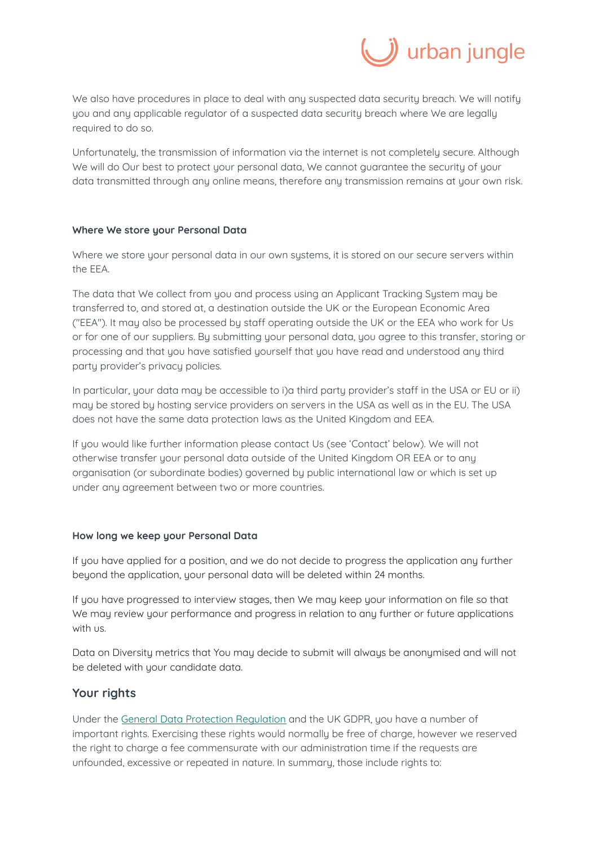

We also have procedures in place to deal with any suspected data security breach. We will notify you and any applicable regulator of a suspected data security breach where We are legally required to do so.

Unfortunately, the transmission of information via the internet is not completely secure. Although We will do Our best to protect your personal data, We cannot guarantee the security of your data transmitted through any online means, therefore any transmission remains at your own risk.

### **Where We store your Personal Data**

Where we store your personal data in our own systems, it is stored on our secure servers within the EEA.

The data that We collect from you and process using an Applicant Tracking System may be transferred to, and stored at, a destination outside the UK or the European Economic Area ("EEA"). It may also be processed by staff operating outside the UK or the EEA who work for Us or for one of our suppliers. By submitting your personal data, you agree to this transfer, storing or processing and that you have satisfied yourself that you have read and understood any third party provider's privacy policies.

In particular, your data may be accessible to i)a third party provider's staff in the USA or EU or ii) may be stored by hosting service providers on servers in the USA as well as in the EU. The USA does not have the same data protection laws as the United Kingdom and EEA.

If you would like further information please contact Us (see 'Contact' below). We will not otherwise transfer your personal data outside of the United Kingdom OR EEA or to any organisation (or subordinate bodies) governed by public international law or which is set up under any agreement between two or more countries.

### **How long we keep your Personal Data**

If you have applied for a position, and we do not decide to progress the application any further beyond the application, your personal data will be deleted within 24 months.

If you have progressed to interview stages, then We may keep your information on file so that We may review your performance and progress in relation to any further or future applications with us.

Data on Diversity metrics that You may decide to submit will always be anonymised and will not be deleted with your candidate data.

### **Your rights**

Under the [General Data Protection Regulation](https://eur-lex.europa.eu/legal-content/EN/TXT/PDF/?uri=CELEX:32016R0679&from=EN) and the UK GDPR, you have a number of important rights. Exercising these rights would normally be free of charge, however we reserved the right to charge a fee commensurate with our administration time if the requests are unfounded, excessive or repeated in nature. In summary, those include rights to: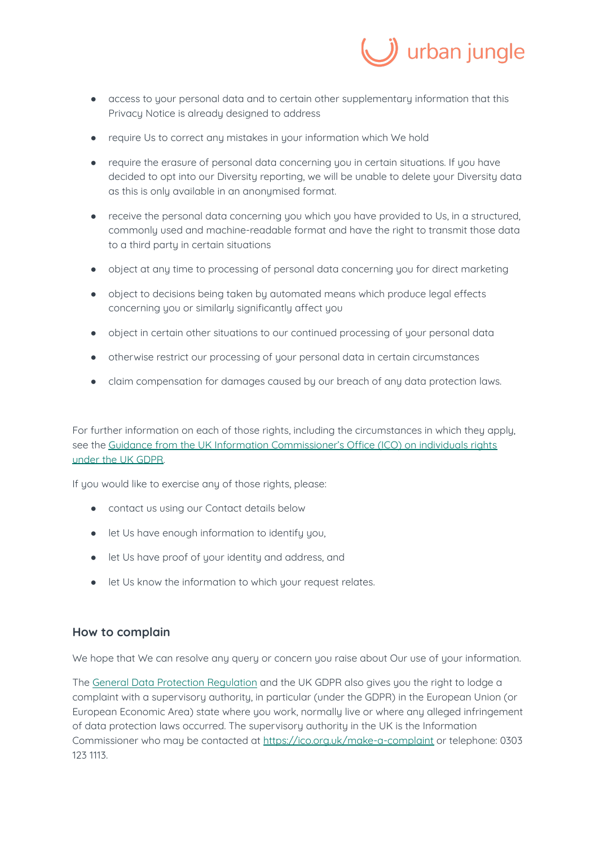

- access to your personal data and to certain other supplementary information that this Privacy Notice is already designed to address
- require Us to correct any mistakes in your information which We hold
- require the erasure of personal data concerning you in certain situations. If you have decided to opt into our Diversity reporting, we will be unable to delete your Diversity data as this is only available in an anonymised format.
- receive the personal data concerning you which you have provided to Us, in a structured, commonly used and machine-readable format and have the right to transmit those data to a third party in certain situations
- object at any time to processing of personal data concerning you for direct marketing
- object to decisions being taken by automated means which produce legal effects concerning you or similarly significantly affect you
- object in certain other situations to our continued processing of your personal data
- otherwise restrict our processing of your personal data in certain circumstances
- claim compensation for damages caused by our breach of any data protection laws.

For further information on each of those rights, including the circumstances in which they apply, see the Guidance from the UK Information Commissioner's Office (ICO) on individuals rights [under the UK GDPR.](https://ico.org.uk/for-organisations/guide-to-the-general-data-protection-regulation-gdpr/individual-rights/)

If you would like to exercise any of those rights, please:

- contact us using our Contact details below
- let Us have enough information to identify you,
- let Us have proof of your identity and address, and
- let Us know the information to which your request relates.

## **How to complain**

We hope that We can resolve any query or concern you raise about Our use of your information.

The [General Data Protection Regulation](https://eur-lex.europa.eu/legal-content/EN/TXT/PDF/?uri=CELEX:32016R0679&from=EN) and the UK GDPR also gives you the right to lodge a complaint with a supervisory authority, in particular (under the GDPR) in the European Union (or European Economic Area) state where you work, normally live or where any alleged infringement of data protection laws occurred. The supervisory authority in the UK is the Information Commissioner who may be contacted at [https://ico.org.uk/make-a-complaint](https://ico.org.uk/make-a-complaint/) or telephone: 0303 123 1113.